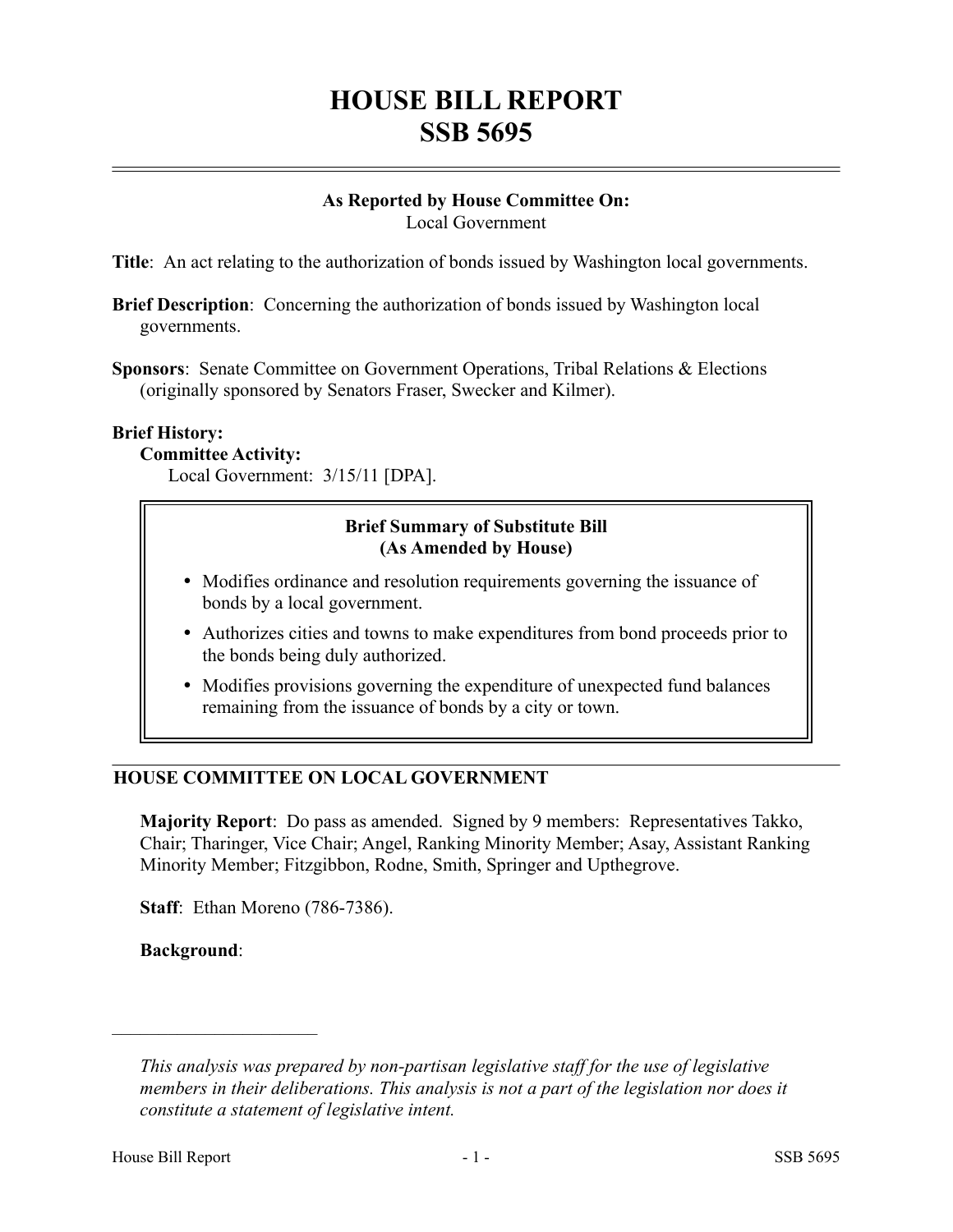## **HOUSE BILL REPORT SSB 5695**

# **As Reported by House Committee On:**

Local Government

**Title**: An act relating to the authorization of bonds issued by Washington local governments.

- **Brief Description**: Concerning the authorization of bonds issued by Washington local governments.
- **Sponsors**: Senate Committee on Government Operations, Tribal Relations & Elections (originally sponsored by Senators Fraser, Swecker and Kilmer).

#### **Brief History:**

#### **Committee Activity:**

Local Government: 3/15/11 [DPA].

#### **Brief Summary of Substitute Bill (As Amended by House)**

- Modifies ordinance and resolution requirements governing the issuance of bonds by a local government.
- Authorizes cities and towns to make expenditures from bond proceeds prior to the bonds being duly authorized.
- Modifies provisions governing the expenditure of unexpected fund balances remaining from the issuance of bonds by a city or town.

### **HOUSE COMMITTEE ON LOCAL GOVERNMENT**

**Majority Report**: Do pass as amended. Signed by 9 members: Representatives Takko, Chair; Tharinger, Vice Chair; Angel, Ranking Minority Member; Asay, Assistant Ranking Minority Member; Fitzgibbon, Rodne, Smith, Springer and Upthegrove.

**Staff**: Ethan Moreno (786-7386).

**Background**:

––––––––––––––––––––––

*This analysis was prepared by non-partisan legislative staff for the use of legislative members in their deliberations. This analysis is not a part of the legislation nor does it constitute a statement of legislative intent.*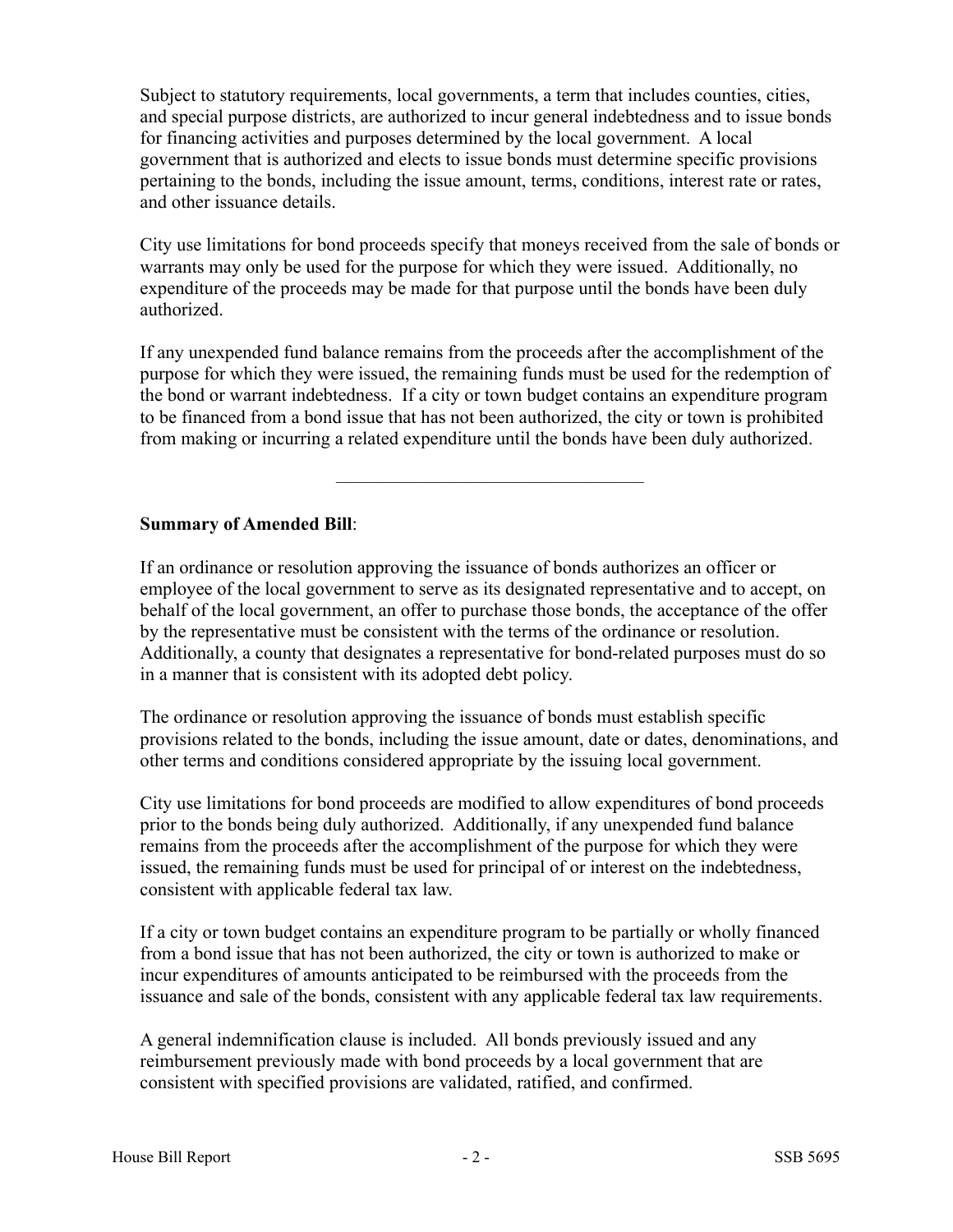Subject to statutory requirements, local governments, a term that includes counties, cities, and special purpose districts, are authorized to incur general indebtedness and to issue bonds for financing activities and purposes determined by the local government. A local government that is authorized and elects to issue bonds must determine specific provisions pertaining to the bonds, including the issue amount, terms, conditions, interest rate or rates, and other issuance details.

City use limitations for bond proceeds specify that moneys received from the sale of bonds or warrants may only be used for the purpose for which they were issued. Additionally, no expenditure of the proceeds may be made for that purpose until the bonds have been duly authorized.

If any unexpended fund balance remains from the proceeds after the accomplishment of the purpose for which they were issued, the remaining funds must be used for the redemption of the bond or warrant indebtedness. If a city or town budget contains an expenditure program to be financed from a bond issue that has not been authorized, the city or town is prohibited from making or incurring a related expenditure until the bonds have been duly authorized.

–––––––––––––––––––––––––––––––––

#### **Summary of Amended Bill**:

If an ordinance or resolution approving the issuance of bonds authorizes an officer or employee of the local government to serve as its designated representative and to accept, on behalf of the local government, an offer to purchase those bonds, the acceptance of the offer by the representative must be consistent with the terms of the ordinance or resolution. Additionally, a county that designates a representative for bond-related purposes must do so in a manner that is consistent with its adopted debt policy.

The ordinance or resolution approving the issuance of bonds must establish specific provisions related to the bonds, including the issue amount, date or dates, denominations, and other terms and conditions considered appropriate by the issuing local government.

City use limitations for bond proceeds are modified to allow expenditures of bond proceeds prior to the bonds being duly authorized. Additionally, if any unexpended fund balance remains from the proceeds after the accomplishment of the purpose for which they were issued, the remaining funds must be used for principal of or interest on the indebtedness, consistent with applicable federal tax law.

If a city or town budget contains an expenditure program to be partially or wholly financed from a bond issue that has not been authorized, the city or town is authorized to make or incur expenditures of amounts anticipated to be reimbursed with the proceeds from the issuance and sale of the bonds, consistent with any applicable federal tax law requirements.

A general indemnification clause is included. All bonds previously issued and any reimbursement previously made with bond proceeds by a local government that are consistent with specified provisions are validated, ratified, and confirmed.